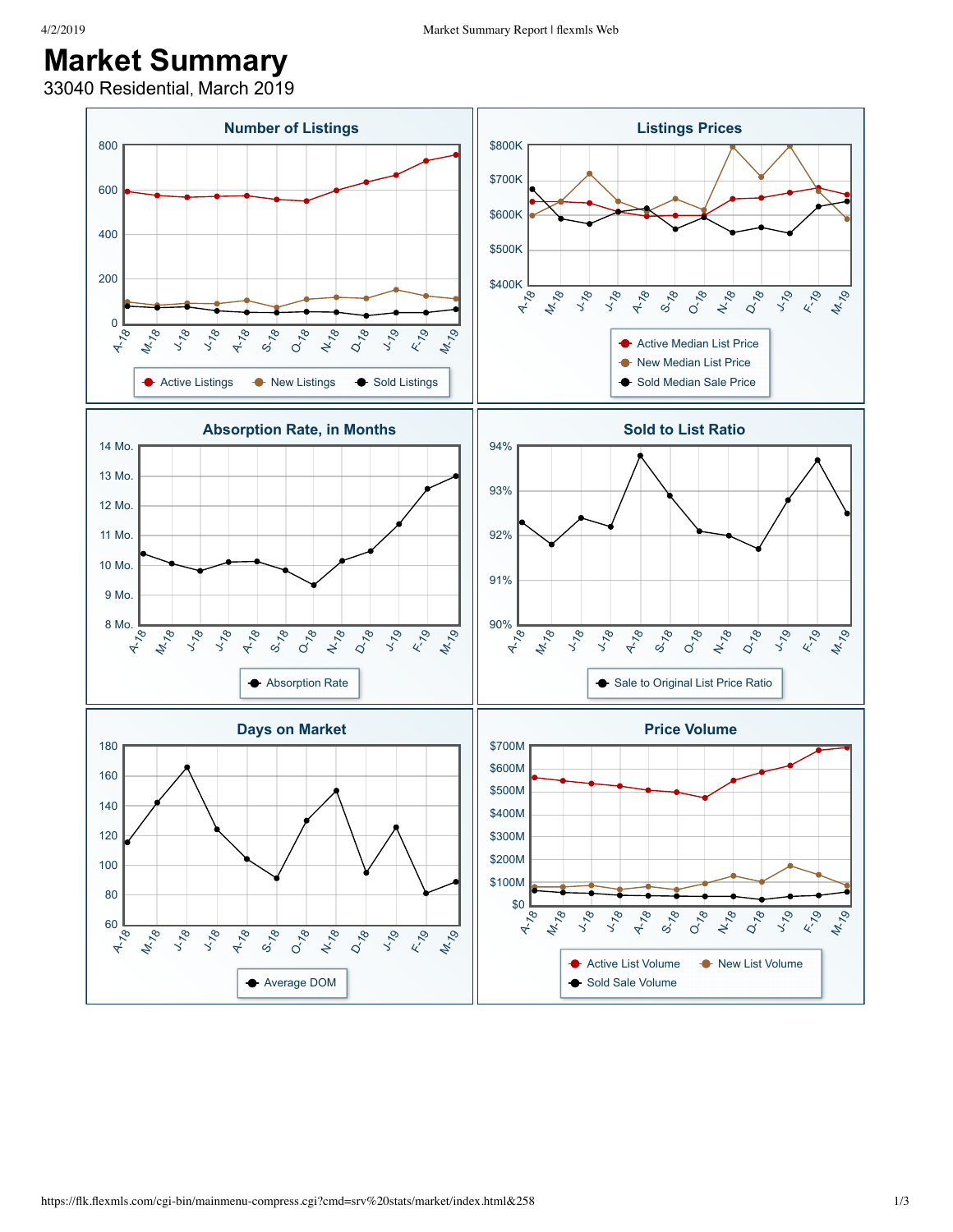## **Market Summary**

33040 Residential, March 2019

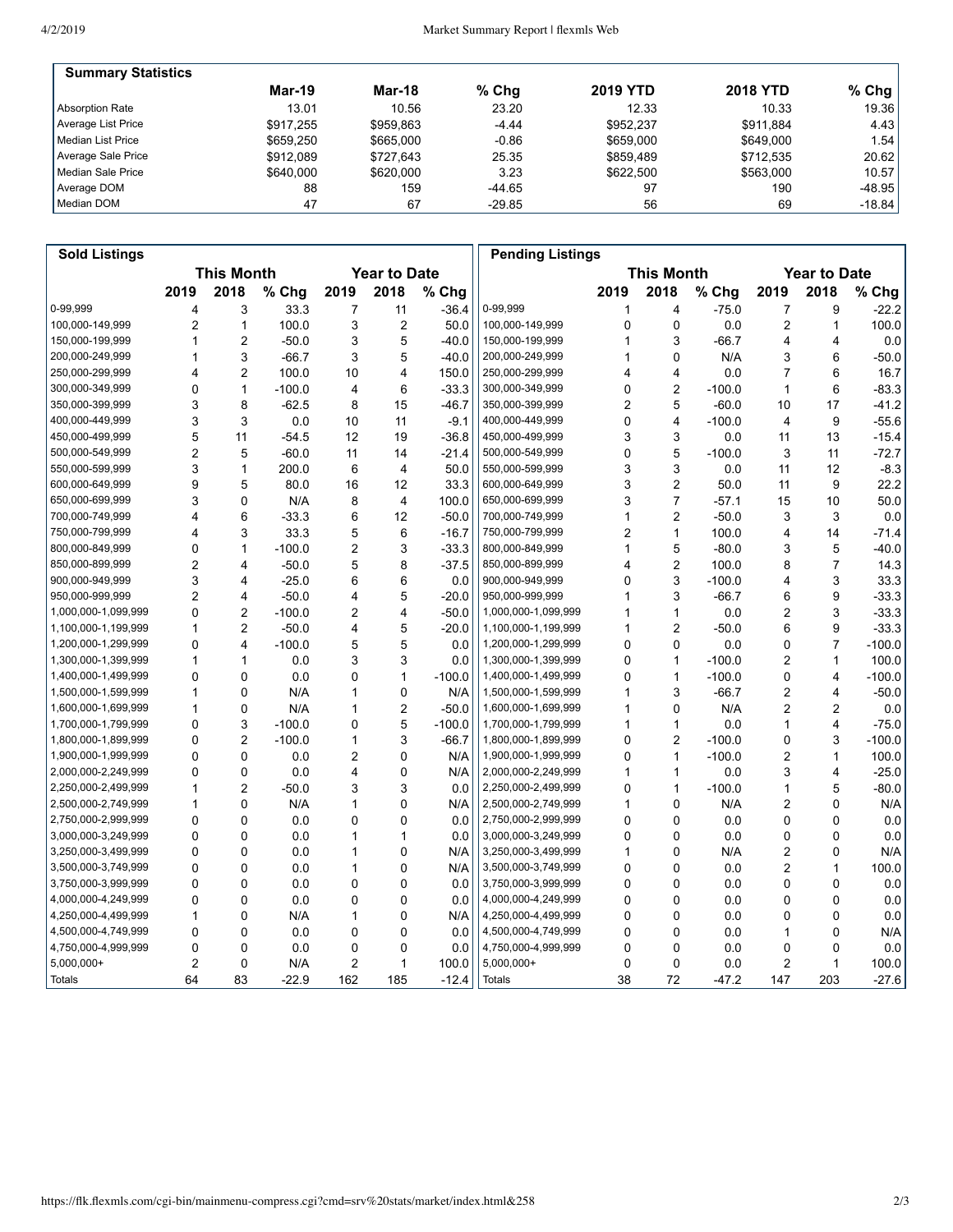| <b>Summary Statistics</b> |           |           |          |                 |                 |           |
|---------------------------|-----------|-----------|----------|-----------------|-----------------|-----------|
|                           | Mar-19    | Mar-18    | $%$ Chg  | <b>2019 YTD</b> | <b>2018 YTD</b> | % Chg $ $ |
| Absorption Rate           | 13.01     | 10.56     | 23.20    | 12.33           | 10.33           | 19.36     |
| Average List Price        | \$917.255 | \$959.863 | $-4.44$  | \$952.237       | \$911.884       | 4.43      |
| Median List Price         | \$659.250 | \$665,000 | $-0.86$  | \$659,000       | \$649,000       | 1.54      |
| Average Sale Price        | \$912.089 | \$727.643 | 25.35    | \$859.489       | \$712.535       | 20.62     |
| Median Sale Price         | \$640,000 | \$620,000 | 3.23     | \$622,500       | \$563,000       | 10.57     |
| Average DOM               | 88        | 159       | -44.65   | 97              | 190             | $-48.95$  |
| Median DOM                | 47        | 67        | $-29.85$ | 56              | 69              | $-18.84$  |

| <b>Sold Listings</b> |                                          |                         |          |                |                |                                          | <b>Pending Listings</b> |      |                |          |                |                |          |
|----------------------|------------------------------------------|-------------------------|----------|----------------|----------------|------------------------------------------|-------------------------|------|----------------|----------|----------------|----------------|----------|
|                      | <b>This Month</b><br><b>Year to Date</b> |                         |          |                |                | <b>This Month</b><br><b>Year to Date</b> |                         |      |                |          |                |                |          |
|                      | 2019                                     | 2018                    | % Chg    | 2019           | 2018           | % Chg                                    |                         | 2019 | 2018           | % Chg    | 2019           | 2018           | % Chg    |
| 0-99,999             | 4                                        | 3                       | 33.3     | 7              | 11             | $-36.4$                                  | 0-99,999                | 1    | 4              | $-75.0$  | 7              | 9              | $-22.2$  |
| 100,000-149,999      | $\overline{2}$                           | $\mathbf{1}$            | 100.0    | 3              | $\overline{2}$ | 50.0                                     | 100,000-149,999         | 0    | $\mathbf 0$    | 0.0      | 2              | 1              | 100.0    |
| 150,000-199,999      | 1                                        | $\overline{2}$          | $-50.0$  | 3              | 5              | $-40.0$                                  | 150,000-199,999         | 1    | 3              | $-66.7$  | 4              | 4              | 0.0      |
| 200,000-249,999      | 1                                        | 3                       | $-66.7$  | 3              | 5              | $-40.0$                                  | 200,000-249,999         |      | $\mathbf 0$    | N/A      | 3              | 6              | $-50.0$  |
| 250,000-299,999      | 4                                        | $\overline{2}$          | 100.0    | 10             | 4              | 150.0                                    | 250,000-299,999         | 4    | 4              | 0.0      | 7              | 6              | 16.7     |
| 300,000-349,999      | 0                                        | $\mathbf{1}$            | $-100.0$ | 4              | 6              | $-33.3$                                  | 300,000-349,999         | 0    | $\overline{2}$ | $-100.0$ | 1              | 6              | $-83.3$  |
| 350,000-399,999      | 3                                        | 8                       | $-62.5$  | 8              | 15             | $-46.7$                                  | 350,000-399,999         | 2    | 5              | $-60.0$  | 10             | 17             | $-41.2$  |
| 400,000-449,999      | 3                                        | 3                       | 0.0      | 10             | 11             | $-9.1$                                   | 400,000-449,999         | 0    | 4              | $-100.0$ | 4              | 9              | $-55.6$  |
| 450,000-499,999      | 5                                        | 11                      | $-54.5$  | 12             | 19             | $-36.8$                                  | 450,000-499,999         | 3    | 3              | 0.0      | 11             | 13             | $-15.4$  |
| 500,000-549,999      | $\overline{2}$                           | 5                       | $-60.0$  | 11             | 14             | $-21.4$                                  | 500,000-549,999         | 0    | 5              | $-100.0$ | 3              | 11             | $-72.7$  |
| 550,000-599,999      | 3                                        | $\mathbf{1}$            | 200.0    | 6              | 4              | 50.0                                     | 550,000-599,999         | 3    | 3              | 0.0      | 11             | 12             | $-8.3$   |
| 600,000-649,999      | 9                                        | 5                       | 80.0     | 16             | 12             | 33.3                                     | 600,000-649,999         | 3    | $\overline{c}$ | 50.0     | 11             | 9              | 22.2     |
| 650,000-699,999      | 3                                        | 0                       | N/A      | 8              | 4              | 100.0                                    | 650,000-699,999         | 3    | $\overline{7}$ | $-57.1$  | 15             | 10             | 50.0     |
| 700,000-749,999      | 4                                        | 6                       | $-33.3$  | 6              | 12             | $-50.0$                                  | 700,000-749,999         | 1    | $\overline{2}$ | $-50.0$  | 3              | 3              | 0.0      |
| 750,000-799,999      | 4                                        | 3                       | 33.3     | 5              | 6              | $-16.7$                                  | 750,000-799,999         | 2    | $\mathbf{1}$   | 100.0    | 4              | 14             | $-71.4$  |
| 800,000-849,999      | 0                                        | 1                       | $-100.0$ | $\overline{2}$ | 3              | $-33.3$                                  | 800,000-849,999         | 1    | 5              | $-80.0$  | 3              | 5              | $-40.0$  |
| 850,000-899,999      | $\overline{2}$                           | 4                       | $-50.0$  | 5              | 8              | $-37.5$                                  | 850,000-899,999         | 4    | $\overline{c}$ | 100.0    | 8              | $\overline{7}$ | 14.3     |
| 900,000-949,999      | 3                                        | $\overline{\mathbf{4}}$ | $-25.0$  | 6              | 6              | 0.0                                      | 900,000-949,999         | 0    | 3              | $-100.0$ | 4              | 3              | 33.3     |
| 950,000-999,999      | $\overline{2}$                           | 4                       | $-50.0$  | 4              | 5              | $-20.0$                                  | 950,000-999,999         | 1    | 3              | $-66.7$  | 6              | 9              | $-33.3$  |
| 1,000,000-1,099,999  | 0                                        | $\overline{c}$          | $-100.0$ | $\overline{c}$ | 4              | $-50.0$                                  | 1,000,000-1,099,999     | 1    | $\mathbf{1}$   | 0.0      | 2              | 3              | $-33.3$  |
| 1,100,000-1,199,999  | 1                                        | $\overline{2}$          | $-50.0$  | 4              | 5              | $-20.0$                                  | 1,100,000-1,199,999     | 1    | $\overline{2}$ | $-50.0$  | 6              | 9              | $-33.3$  |
| 1,200,000-1,299,999  | $\mathbf 0$                              | $\overline{\mathbf{4}}$ | $-100.0$ | 5              | 5              | 0.0                                      | 1,200,000-1,299,999     | 0    | $\Omega$       | 0.0      | 0              | $\overline{7}$ | $-100.0$ |
| 1,300,000-1,399,999  | 1                                        | $\mathbf{1}$            | 0.0      | 3              | 3              | 0.0                                      | 1,300,000-1,399,999     | 0    | $\mathbf{1}$   | $-100.0$ | 2              | 1              | 100.0    |
| 1,400,000-1,499,999  | 0                                        | 0                       | 0.0      | 0              | 1              | $-100.0$                                 | 1,400,000-1,499,999     | 0    | $\mathbf{1}$   | $-100.0$ | 0              | 4              | $-100.0$ |
| 1,500,000-1,599,999  | 1                                        | $\mathbf 0$             | N/A      | 1              | 0              | N/A                                      | 1,500,000-1,599,999     | 1    | 3              | $-66.7$  | 2              | 4              | $-50.0$  |
| 1,600,000-1,699,999  | 1                                        | 0                       | N/A      | 1              | $\overline{2}$ | $-50.0$                                  | 1,600,000-1,699,999     | 1    | 0              | N/A      | 2              | 2              | 0.0      |
| 1,700,000-1,799,999  | 0                                        | 3                       | $-100.0$ | 0              | 5              | -100.0                                   | 1,700,000-1,799,999     | 1    | $\mathbf{1}$   | 0.0      | 1              | 4              | $-75.0$  |
| 1,800,000-1,899,999  | 0                                        | $\overline{2}$          | $-100.0$ | 1              | 3              | $-66.7$                                  | 1,800,000-1,899,999     | 0    | $\overline{c}$ | $-100.0$ | 0              | 3              | $-100.0$ |
| 1,900,000-1,999,999  | 0                                        | 0                       | 0.0      | $\overline{2}$ | 0              | N/A                                      | 1,900,000-1,999,999     | 0    | $\mathbf{1}$   | $-100.0$ | 2              | $\mathbf{1}$   | 100.0    |
| 2,000,000-2,249,999  | 0                                        | $\mathbf 0$             | 0.0      | 4              | $\mathbf 0$    | N/A                                      | 2,000,000-2,249,999     | 1    | $\mathbf{1}$   | 0.0      | 3              | 4              | $-25.0$  |
| 2,250,000-2,499,999  | 1                                        | $\overline{2}$          | $-50.0$  | 3              | 3              | 0.0                                      | 2,250,000-2,499,999     | 0    | $\mathbf{1}$   | $-100.0$ | 1              | 5              | $-80.0$  |
| 2,500,000-2,749,999  | 1                                        | $\mathbf 0$             | N/A      | 1              | 0              | N/A                                      | 2,500,000-2,749,999     | 1    | $\mathbf 0$    | N/A      | 2              | 0              | N/A      |
| 2,750,000-2,999,999  | 0                                        | $\mathbf 0$             | 0.0      | 0              | 0              | 0.0                                      | 2,750,000-2,999,999     | 0    | $\mathbf 0$    | 0.0      | 0              | $\mathbf 0$    | 0.0      |
| 3,000,000-3,249,999  | 0                                        | 0                       | 0.0      | 1              | 1              | 0.0                                      | 3,000,000-3,249,999     | 0    | 0              | 0.0      | 0              | 0              | 0.0      |
| 3,250,000-3,499,999  | 0                                        | $\Omega$                | 0.0      | 1              | $\mathbf 0$    | N/A                                      | 3,250,000-3,499,999     | 1    | $\Omega$       | N/A      | $\overline{2}$ | 0              | N/A      |
| 3,500,000-3,749,999  | 0                                        | $\mathbf 0$             | 0.0      | 1              | 0              | N/A                                      | 3,500,000-3,749,999     | 0    | $\mathbf 0$    | 0.0      | 2              | 1              | 100.0    |
| 3,750,000-3,999,999  | 0                                        | $\mathbf 0$             | 0.0      | 0              | 0              | 0.0                                      | 3,750,000-3,999,999     | 0    | $\mathbf 0$    | 0.0      | 0              | 0              | 0.0      |
| 4,000,000-4,249,999  | 0                                        | $\Omega$                | 0.0      | 0              | $\mathbf 0$    | 0.0                                      | 4,000,000-4,249,999     | 0    | 0              | 0.0      | 0              | 0              | 0.0      |
| 4,250,000-4,499,999  | 1                                        | 0                       | N/A      | 1              | 0              | N/A                                      | 4,250,000-4,499,999     | 0    | $\mathbf 0$    | 0.0      | 0              | 0              | 0.0      |
| 4,500,000-4,749,999  | 0                                        | 0                       | 0.0      | 0              | 0              | 0.0                                      | 4,500,000-4,749,999     | 0    | 0              | 0.0      | 1              | 0              | N/A      |
| 4,750,000-4,999,999  | 0                                        | 0                       | 0.0      | 0              | 0              | 0.0                                      | 4,750,000-4,999,999     | 0    | $\mathbf 0$    | 0.0      | 0              | 0              | 0.0      |
| $5,000,000+$         | $\overline{2}$                           | $\mathbf 0$             | N/A      | 2              | $\mathbf{1}$   | 100.0                                    | $5,000,000+$            | 0    | $\mathbf 0$    | 0.0      | 2              | 1              | 100.0    |
| Totals               | 64                                       | 83                      | $-22.9$  | 162            | 185            | $-12.4$                                  | <b>Totals</b>           | 38   | 72             | $-47.2$  | 147            | 203            | $-27.6$  |